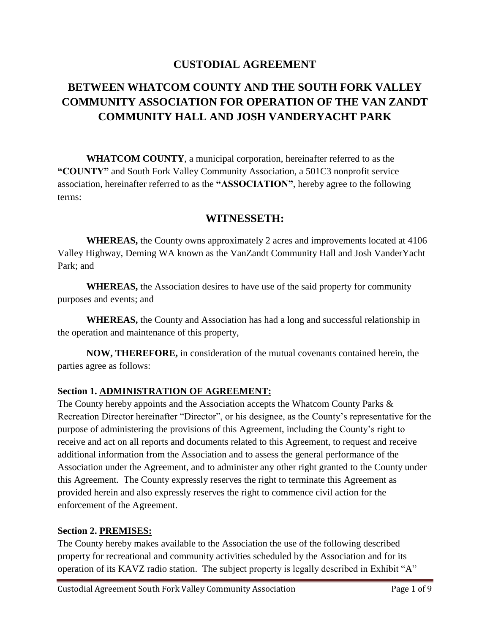# **CUSTODIAL AGREEMENT**

# **BETWEEN WHATCOM COUNTY AND THE SOUTH FORK VALLEY COMMUNITY ASSOCIATION FOR OPERATION OF THE VAN ZANDT COMMUNITY HALL AND JOSH VANDERYACHT PARK**

**WHATCOM COUNTY**, a municipal corporation, hereinafter referred to as the **"COUNTY"** and South Fork Valley Community Association, a 501C3 nonprofit service association, hereinafter referred to as the **"ASSOCIATION"**, hereby agree to the following terms:

# **WITNESSETH:**

**WHEREAS,** the County owns approximately 2 acres and improvements located at 4106 Valley Highway, Deming WA known as the VanZandt Community Hall and Josh VanderYacht Park; and

**WHEREAS,** the Association desires to have use of the said property for community purposes and events; and

**WHEREAS,** the County and Association has had a long and successful relationship in the operation and maintenance of this property,

**NOW, THEREFORE,** in consideration of the mutual covenants contained herein, the parties agree as follows:

# **Section 1. ADMINISTRATION OF AGREEMENT:**

The County hereby appoints and the Association accepts the Whatcom County Parks & Recreation Director hereinafter "Director", or his designee, as the County's representative for the purpose of administering the provisions of this Agreement, including the County's right to receive and act on all reports and documents related to this Agreement, to request and receive additional information from the Association and to assess the general performance of the Association under the Agreement, and to administer any other right granted to the County under this Agreement. The County expressly reserves the right to terminate this Agreement as provided herein and also expressly reserves the right to commence civil action for the enforcement of the Agreement.

#### **Section 2. PREMISES:**

The County hereby makes available to the Association the use of the following described property for recreational and community activities scheduled by the Association and for its operation of its KAVZ radio station. The subject property is legally described in Exhibit "A"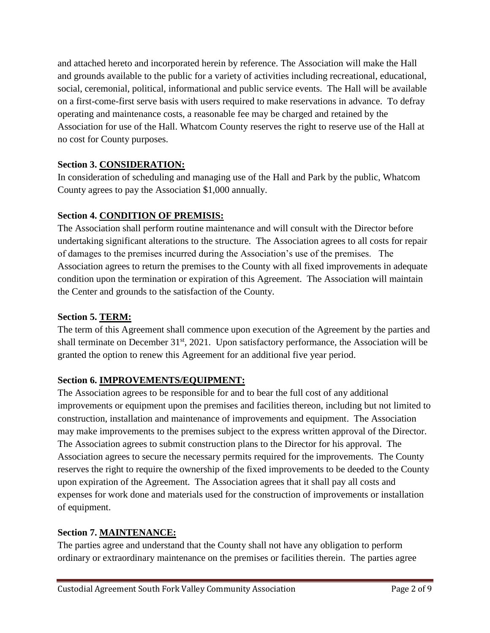and attached hereto and incorporated herein by reference. The Association will make the Hall and grounds available to the public for a variety of activities including recreational, educational, social, ceremonial, political, informational and public service events. The Hall will be available on a first-come-first serve basis with users required to make reservations in advance. To defray operating and maintenance costs, a reasonable fee may be charged and retained by the Association for use of the Hall. Whatcom County reserves the right to reserve use of the Hall at no cost for County purposes.

# **Section 3. CONSIDERATION:**

In consideration of scheduling and managing use of the Hall and Park by the public, Whatcom County agrees to pay the Association \$1,000 annually.

# **Section 4. CONDITION OF PREMISIS:**

The Association shall perform routine maintenance and will consult with the Director before undertaking significant alterations to the structure. The Association agrees to all costs for repair of damages to the premises incurred during the Association's use of the premises. The Association agrees to return the premises to the County with all fixed improvements in adequate condition upon the termination or expiration of this Agreement. The Association will maintain the Center and grounds to the satisfaction of the County.

# **Section 5. TERM:**

The term of this Agreement shall commence upon execution of the Agreement by the parties and shall terminate on December  $31<sup>st</sup>$ , 2021. Upon satisfactory performance, the Association will be granted the option to renew this Agreement for an additional five year period.

# **Section 6. IMPROVEMENTS/EQUIPMENT:**

The Association agrees to be responsible for and to bear the full cost of any additional improvements or equipment upon the premises and facilities thereon, including but not limited to construction, installation and maintenance of improvements and equipment. The Association may make improvements to the premises subject to the express written approval of the Director. The Association agrees to submit construction plans to the Director for his approval. The Association agrees to secure the necessary permits required for the improvements. The County reserves the right to require the ownership of the fixed improvements to be deeded to the County upon expiration of the Agreement. The Association agrees that it shall pay all costs and expenses for work done and materials used for the construction of improvements or installation of equipment.

# **Section 7. MAINTENANCE:**

The parties agree and understand that the County shall not have any obligation to perform ordinary or extraordinary maintenance on the premises or facilities therein. The parties agree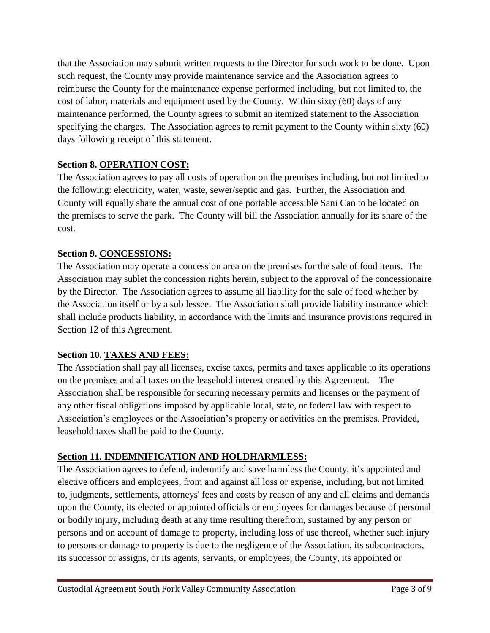that the Association may submit written requests to the Director for such work to be done. Upon such request, the County may provide maintenance service and the Association agrees to reimburse the County for the maintenance expense performed including, but not limited to, the cost of labor, materials and equipment used by the County. Within sixty (60) days of any maintenance performed, the County agrees to submit an itemized statement to the Association specifying the charges. The Association agrees to remit payment to the County within sixty (60) days following receipt of this statement.

# **Section 8. OPERATION COST:**

The Association agrees to pay all costs of operation on the premises including, but not limited to the following: electricity, water, waste, sewer/septic and gas. Further, the Association and County will equally share the annual cost of one portable accessible Sani Can to be located on the premises to serve the park. The County will bill the Association annually for its share of the cost.

# **Section 9. CONCESSIONS:**

The Association may operate a concession area on the premises for the sale of food items. The Association may sublet the concession rights herein, subject to the approval of the concessionaire by the Director. The Association agrees to assume all liability for the sale of food whether by the Association itself or by a sub lessee. The Association shall provide liability insurance which shall include products liability, in accordance with the limits and insurance provisions required in Section 12 of this Agreement.

# **Section 10. TAXES AND FEES:**

The Association shall pay all licenses, excise taxes, permits and taxes applicable to its operations on the premises and all taxes on the leasehold interest created by this Agreement. The Association shall be responsible for securing necessary permits and licenses or the payment of any other fiscal obligations imposed by applicable local, state, or federal law with respect to Association's employees or the Association's property or activities on the premises. Provided, leasehold taxes shall be paid to the County.

# **Section 11. INDEMNIFICATION AND HOLDHARMLESS:**

The Association agrees to defend, indemnify and save harmless the County, it's appointed and elective officers and employees, from and against all loss or expense, including, but not limited to, judgments, settlements, attorneys' fees and costs by reason of any and all claims and demands upon the County, its elected or appointed officials or employees for damages because of personal or bodily injury, including death at any time resulting therefrom, sustained by any person or persons and on account of damage to property, including loss of use thereof, whether such injury to persons or damage to property is due to the negligence of the Association, its subcontractors, its successor or assigns, or its agents, servants, or employees, the County, its appointed or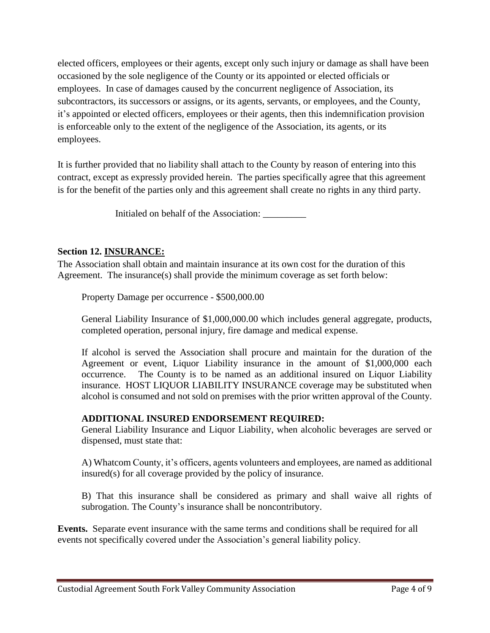elected officers, employees or their agents, except only such injury or damage as shall have been occasioned by the sole negligence of the County or its appointed or elected officials or employees. In case of damages caused by the concurrent negligence of Association, its subcontractors, its successors or assigns, or its agents, servants, or employees, and the County, it's appointed or elected officers, employees or their agents, then this indemnification provision is enforceable only to the extent of the negligence of the Association, its agents, or its employees.

It is further provided that no liability shall attach to the County by reason of entering into this contract, except as expressly provided herein. The parties specifically agree that this agreement is for the benefit of the parties only and this agreement shall create no rights in any third party.

Initialed on behalf of the Association: \_\_\_\_\_\_\_\_\_

#### **Section 12. INSURANCE:**

The Association shall obtain and maintain insurance at its own cost for the duration of this Agreement. The insurance(s) shall provide the minimum coverage as set forth below:

Property Damage per occurrence - \$500,000.00

General Liability Insurance of \$1,000,000.00 which includes general aggregate, products, completed operation, personal injury, fire damage and medical expense.

If alcohol is served the Association shall procure and maintain for the duration of the Agreement or event, Liquor Liability insurance in the amount of \$1,000,000 each occurrence. The County is to be named as an additional insured on Liquor Liability insurance. HOST LIQUOR LIABILITY INSURANCE coverage may be substituted when alcohol is consumed and not sold on premises with the prior written approval of the County.

# **ADDITIONAL INSURED ENDORSEMENT REQUIRED:**

General Liability Insurance and Liquor Liability, when alcoholic beverages are served or dispensed, must state that:

A) Whatcom County, it's officers, agents volunteers and employees, are named as additional insured(s) for all coverage provided by the policy of insurance.

B) That this insurance shall be considered as primary and shall waive all rights of subrogation. The County's insurance shall be noncontributory.

**Events.** Separate event insurance with the same terms and conditions shall be required for all events not specifically covered under the Association's general liability policy.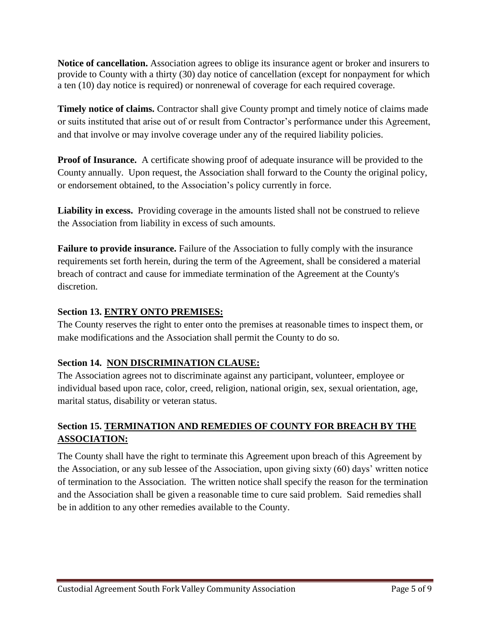**Notice of cancellation.** Association agrees to oblige its insurance agent or broker and insurers to provide to County with a thirty (30) day notice of cancellation (except for nonpayment for which a ten (10) day notice is required) or nonrenewal of coverage for each required coverage.

**Timely notice of claims.** Contractor shall give County prompt and timely notice of claims made or suits instituted that arise out of or result from Contractor's performance under this Agreement, and that involve or may involve coverage under any of the required liability policies.

**Proof of Insurance.** A certificate showing proof of adequate insurance will be provided to the County annually. Upon request, the Association shall forward to the County the original policy, or endorsement obtained, to the Association's policy currently in force.

**Liability in excess.** Providing coverage in the amounts listed shall not be construed to relieve the Association from liability in excess of such amounts.

**Failure to provide insurance.** Failure of the Association to fully comply with the insurance requirements set forth herein, during the term of the Agreement, shall be considered a material breach of contract and cause for immediate termination of the Agreement at the County's discretion.

# **Section 13. ENTRY ONTO PREMISES:**

The County reserves the right to enter onto the premises at reasonable times to inspect them, or make modifications and the Association shall permit the County to do so.

# **Section 14. NON DISCRIMINATION CLAUSE:**

The Association agrees not to discriminate against any participant, volunteer, employee or individual based upon race, color, creed, religion, national origin, sex, sexual orientation, age, marital status, disability or veteran status.

# **Section 15. TERMINATION AND REMEDIES OF COUNTY FOR BREACH BY THE ASSOCIATION:**

The County shall have the right to terminate this Agreement upon breach of this Agreement by the Association, or any sub lessee of the Association, upon giving sixty (60) days' written notice of termination to the Association. The written notice shall specify the reason for the termination and the Association shall be given a reasonable time to cure said problem. Said remedies shall be in addition to any other remedies available to the County.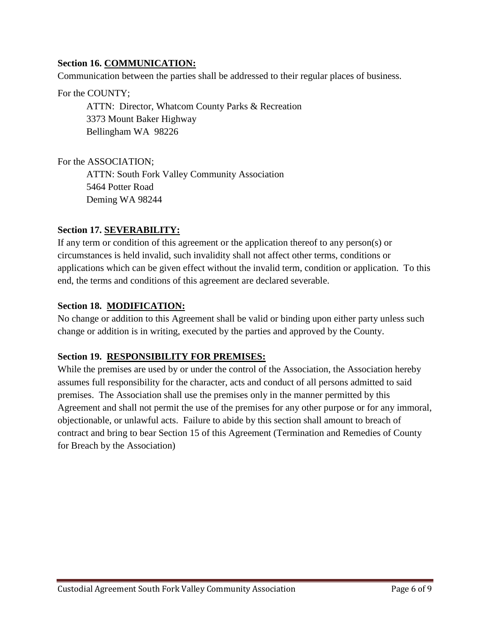# **Section 16. COMMUNICATION:**

Communication between the parties shall be addressed to their regular places of business.

For the COUNTY;

ATTN: Director, Whatcom County Parks & Recreation 3373 Mount Baker Highway Bellingham WA 98226

For the ASSOCIATION;

ATTN: South Fork Valley Community Association 5464 Potter Road Deming WA 98244

# **Section 17. SEVERABILITY:**

If any term or condition of this agreement or the application thereof to any person(s) or circumstances is held invalid, such invalidity shall not affect other terms, conditions or applications which can be given effect without the invalid term, condition or application. To this end, the terms and conditions of this agreement are declared severable.

# **Section 18. MODIFICATION:**

No change or addition to this Agreement shall be valid or binding upon either party unless such change or addition is in writing, executed by the parties and approved by the County.

# **Section 19. RESPONSIBILITY FOR PREMISES:**

While the premises are used by or under the control of the Association, the Association hereby assumes full responsibility for the character, acts and conduct of all persons admitted to said premises. The Association shall use the premises only in the manner permitted by this Agreement and shall not permit the use of the premises for any other purpose or for any immoral, objectionable, or unlawful acts. Failure to abide by this section shall amount to breach of contract and bring to bear Section 15 of this Agreement (Termination and Remedies of County for Breach by the Association)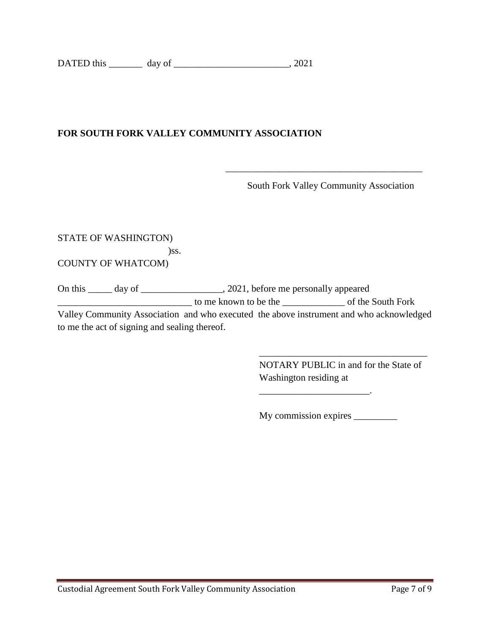# **FOR SOUTH FORK VALLEY COMMUNITY ASSOCIATION**

South Fork Valley Community Association

STATE OF WASHINGTON)

)ss.

COUNTY OF WHATCOM)

On this \_\_\_\_\_ day of \_\_\_\_\_\_\_\_\_\_\_\_\_\_\_, 2021, before me personally appeared \_\_\_\_\_\_\_\_\_\_\_\_\_\_\_\_\_\_\_\_\_\_\_\_\_\_\_\_ to me known to be the \_\_\_\_\_\_\_\_\_\_\_\_\_ of the South Fork Valley Community Association and who executed the above instrument and who acknowledged to me the act of signing and sealing thereof.

 $\overline{\phantom{a}}$  , which is a set of the set of the set of the set of the set of the set of the set of the set of the set of the set of the set of the set of the set of the set of the set of the set of the set of the set of th

NOTARY PUBLIC in and for the State of Washington residing at

\_\_\_\_\_\_\_\_\_\_\_\_\_\_\_\_\_\_\_\_\_\_\_\_\_\_\_\_\_\_\_\_\_\_\_

My commission expires \_\_\_\_\_\_\_\_\_\_

 $\frac{1}{2}$  ,  $\frac{1}{2}$  ,  $\frac{1}{2}$  ,  $\frac{1}{2}$  ,  $\frac{1}{2}$  ,  $\frac{1}{2}$  ,  $\frac{1}{2}$  ,  $\frac{1}{2}$  ,  $\frac{1}{2}$  ,  $\frac{1}{2}$  ,  $\frac{1}{2}$  ,  $\frac{1}{2}$  ,  $\frac{1}{2}$  ,  $\frac{1}{2}$  ,  $\frac{1}{2}$  ,  $\frac{1}{2}$  ,  $\frac{1}{2}$  ,  $\frac{1}{2}$  ,  $\frac{1$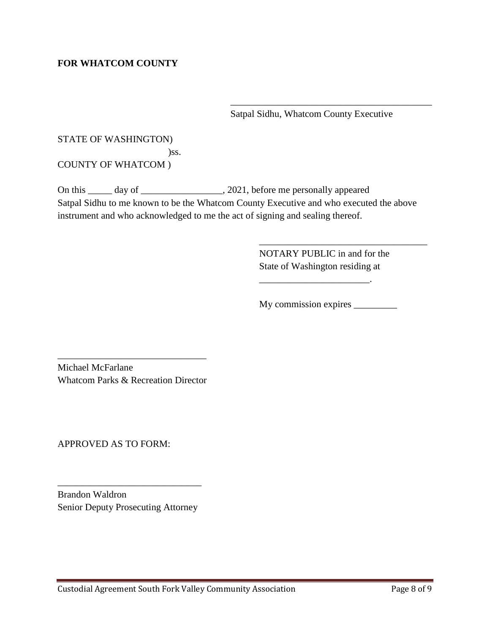# **FOR WHATCOM COUNTY**

Satpal Sidhu, Whatcom County Executive

\_\_\_\_\_\_\_\_\_\_\_\_\_\_\_\_\_\_\_\_\_\_\_\_\_\_\_\_\_\_\_\_\_\_\_\_\_\_\_\_\_\_

STATE OF WASHINGTON) )ss. COUNTY OF WHATCOM )

On this \_\_\_\_\_ day of \_\_\_\_\_\_\_\_\_\_\_\_\_\_\_\_\_, 2021, before me personally appeared Satpal Sidhu to me known to be the Whatcom County Executive and who executed the above instrument and who acknowledged to me the act of signing and sealing thereof.

> NOTARY PUBLIC in and for the State of Washington residing at

\_\_\_\_\_\_\_\_\_\_\_\_\_\_\_\_\_\_\_\_\_\_\_.

\_\_\_\_\_\_\_\_\_\_\_\_\_\_\_\_\_\_\_\_\_\_\_\_\_\_\_\_\_\_\_\_\_\_\_

My commission expires \_\_\_\_\_\_\_\_\_

Michael McFarlane Whatcom Parks & Recreation Director

\_\_\_\_\_\_\_\_\_\_\_\_\_\_\_\_\_\_\_\_\_\_\_\_\_\_\_\_\_\_\_

APPROVED AS TO FORM:

Brandon Waldron Senior Deputy Prosecuting Attorney

\_\_\_\_\_\_\_\_\_\_\_\_\_\_\_\_\_\_\_\_\_\_\_\_\_\_\_\_\_\_